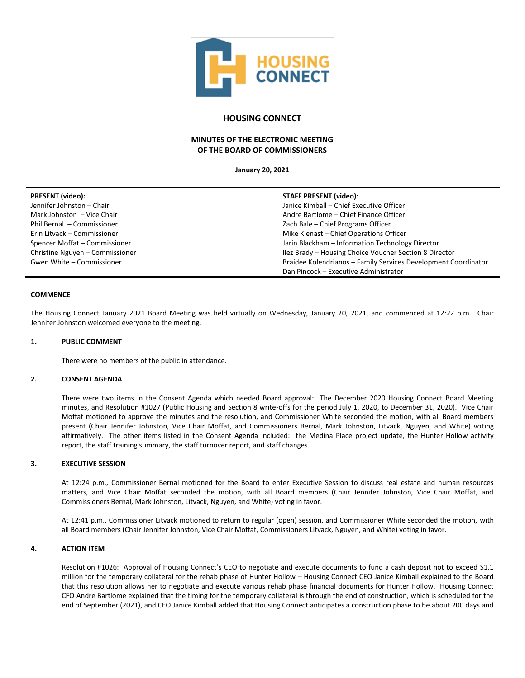

# **HOUSING CONNECT**

# **MINUTES OF THE ELECTRONIC MEETING OF THE BOARD OF COMMISSIONERS**

**January 20, 2021**

| <b>PRESENT</b> (video):         | <b>STAFF PRESENT (video):</b>                                  |
|---------------------------------|----------------------------------------------------------------|
| Jennifer Johnston - Chair       | Janice Kimball - Chief Executive Officer                       |
| Mark Johnston - Vice Chair      | Andre Bartlome - Chief Finance Officer                         |
| Phil Bernal - Commissioner      | Zach Bale - Chief Programs Officer                             |
| Erin Litvack - Commissioner     | Mike Kienast - Chief Operations Officer                        |
| Spencer Moffat - Commissioner   | Jarin Blackham - Information Technology Director               |
| Christine Nguyen - Commissioner | Ilez Brady - Housing Choice Voucher Section 8 Director         |
| Gwen White - Commissioner       | Braidee Kolendrianos - Family Services Development Coordinator |
|                                 | Dan Pincock - Executive Administrator                          |

## **COMMENCE**

The Housing Connect January 2021 Board Meeting was held virtually on Wednesday, January 20, 2021, and commenced at 12:22 p.m. Chair Jennifer Johnston welcomed everyone to the meeting.

## **1. PUBLIC COMMENT**

There were no members of the public in attendance.

### **2. CONSENT AGENDA**

There were two items in the Consent Agenda which needed Board approval: The December 2020 Housing Connect Board Meeting minutes, and Resolution #1027 (Public Housing and Section 8 write-offs for the period July 1, 2020, to December 31, 2020). Vice Chair Moffat motioned to approve the minutes and the resolution, and Commissioner White seconded the motion, with all Board members present (Chair Jennifer Johnston, Vice Chair Moffat, and Commissioners Bernal, Mark Johnston, Litvack, Nguyen, and White) voting affirmatively. The other items listed in the Consent Agenda included: the Medina Place project update, the Hunter Hollow activity report, the staff training summary, the staff turnover report, and staff changes.

## **3. EXECUTIVE SESSION**

At 12:24 p.m., Commissioner Bernal motioned for the Board to enter Executive Session to discuss real estate and human resources matters, and Vice Chair Moffat seconded the motion, with all Board members (Chair Jennifer Johnston, Vice Chair Moffat, and Commissioners Bernal, Mark Johnston, Litvack, Nguyen, and White) voting in favor.

At 12:41 p.m., Commissioner Litvack motioned to return to regular (open) session, and Commissioner White seconded the motion, with all Board members (Chair Jennifer Johnston, Vice Chair Moffat, Commissioners Litvack, Nguyen, and White) voting in favor.

#### **4. ACTION ITEM**

Resolution #1026: Approval of Housing Connect's CEO to negotiate and execute documents to fund a cash deposit not to exceed \$1.1 million for the temporary collateral for the rehab phase of Hunter Hollow – Housing Connect CEO Janice Kimball explained to the Board that this resolution allows her to negotiate and execute various rehab phase financial documents for Hunter Hollow. Housing Connect CFO Andre Bartlome explained that the timing for the temporary collateral is through the end of construction, which is scheduled for the end of September (2021), and CEO Janice Kimball added that Housing Connect anticipates a construction phase to be about 200 days and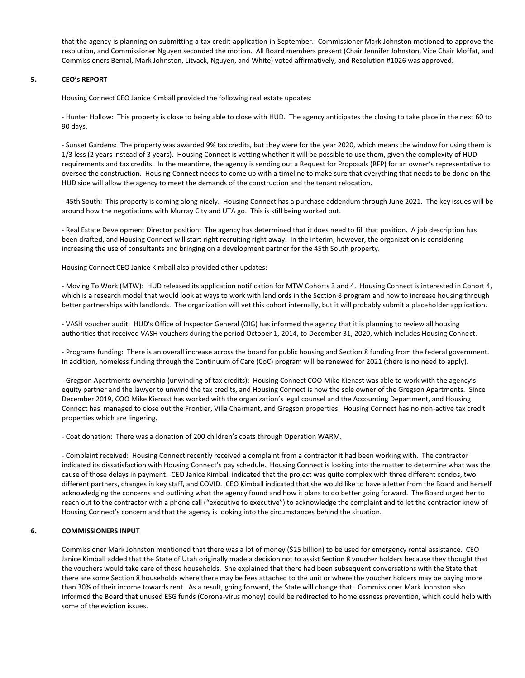that the agency is planning on submitting a tax credit application in September. Commissioner Mark Johnston motioned to approve the resolution, and Commissioner Nguyen seconded the motion. All Board members present (Chair Jennifer Johnston, Vice Chair Moffat, and Commissioners Bernal, Mark Johnston, Litvack, Nguyen, and White) voted affirmatively, and Resolution #1026 was approved.

## **5. CEO's REPORT**

Housing Connect CEO Janice Kimball provided the following real estate updates:

- Hunter Hollow: This property is close to being able to close with HUD. The agency anticipates the closing to take place in the next 60 to 90 days.

- Sunset Gardens: The property was awarded 9% tax credits, but they were for the year 2020, which means the window for using them is 1/3 less (2 years instead of 3 years). Housing Connect is vetting whether it will be possible to use them, given the complexity of HUD requirements and tax credits. In the meantime, the agency is sending out a Request for Proposals (RFP) for an owner's representative to oversee the construction. Housing Connect needs to come up with a timeline to make sure that everything that needs to be done on the HUD side will allow the agency to meet the demands of the construction and the tenant relocation.

- 45th South: This property is coming along nicely. Housing Connect has a purchase addendum through June 2021. The key issues will be around how the negotiations with Murray City and UTA go. This is still being worked out.

- Real Estate Development Director position: The agency has determined that it does need to fill that position. A job description has been drafted, and Housing Connect will start right recruiting right away. In the interim, however, the organization is considering increasing the use of consultants and bringing on a development partner for the 45th South property.

Housing Connect CEO Janice Kimball also provided other updates:

- Moving To Work (MTW): HUD released its application notification for MTW Cohorts 3 and 4. Housing Connect is interested in Cohort 4, which is a research model that would look at ways to work with landlords in the Section 8 program and how to increase housing through better partnerships with landlords. The organization will vet this cohort internally, but it will probably submit a placeholder application.

- VASH voucher audit: HUD's Office of Inspector General (OIG) has informed the agency that it is planning to review all housing authorities that received VASH vouchers during the period October 1, 2014, to December 31, 2020, which includes Housing Connect.

- Programs funding: There is an overall increase across the board for public housing and Section 8 funding from the federal government. In addition, homeless funding through the Continuum of Care (CoC) program will be renewed for 2021 (there is no need to apply).

- Gregson Apartments ownership (unwinding of tax credits): Housing Connect COO Mike Kienast was able to work with the agency's equity partner and the lawyer to unwind the tax credits, and Housing Connect is now the sole owner of the Gregson Apartments. Since December 2019, COO Mike Kienast has worked with the organization's legal counsel and the Accounting Department, and Housing Connect has managed to close out the Frontier, Villa Charmant, and Gregson properties. Housing Connect has no non-active tax credit properties which are lingering.

- Coat donation: There was a donation of 200 children's coats through Operation WARM.

- Complaint received: Housing Connect recently received a complaint from a contractor it had been working with. The contractor indicated its dissatisfaction with Housing Connect's pay schedule. Housing Connect is looking into the matter to determine what was the cause of those delays in payment. CEO Janice Kimball indicated that the project was quite complex with three different condos, two different partners, changes in key staff, and COVID. CEO Kimball indicated that she would like to have a letter from the Board and herself acknowledging the concerns and outlining what the agency found and how it plans to do better going forward. The Board urged her to reach out to the contractor with a phone call ("executive to executive") to acknowledge the complaint and to let the contractor know of Housing Connect's concern and that the agency is looking into the circumstances behind the situation.

# **6. COMMISSIONERS INPUT**

Commissioner Mark Johnston mentioned that there was a lot of money (\$25 billion) to be used for emergency rental assistance. CEO Janice Kimball added that the State of Utah originally made a decision not to assist Section 8 voucher holders because they thought that the vouchers would take care of those households. She explained that there had been subsequent conversations with the State that there are some Section 8 households where there may be fees attached to the unit or where the voucher holders may be paying more than 30% of their income towards rent. As a result, going forward, the State will change that. Commissioner Mark Johnston also informed the Board that unused ESG funds (Corona-virus money) could be redirected to homelessness prevention, which could help with some of the eviction issues.